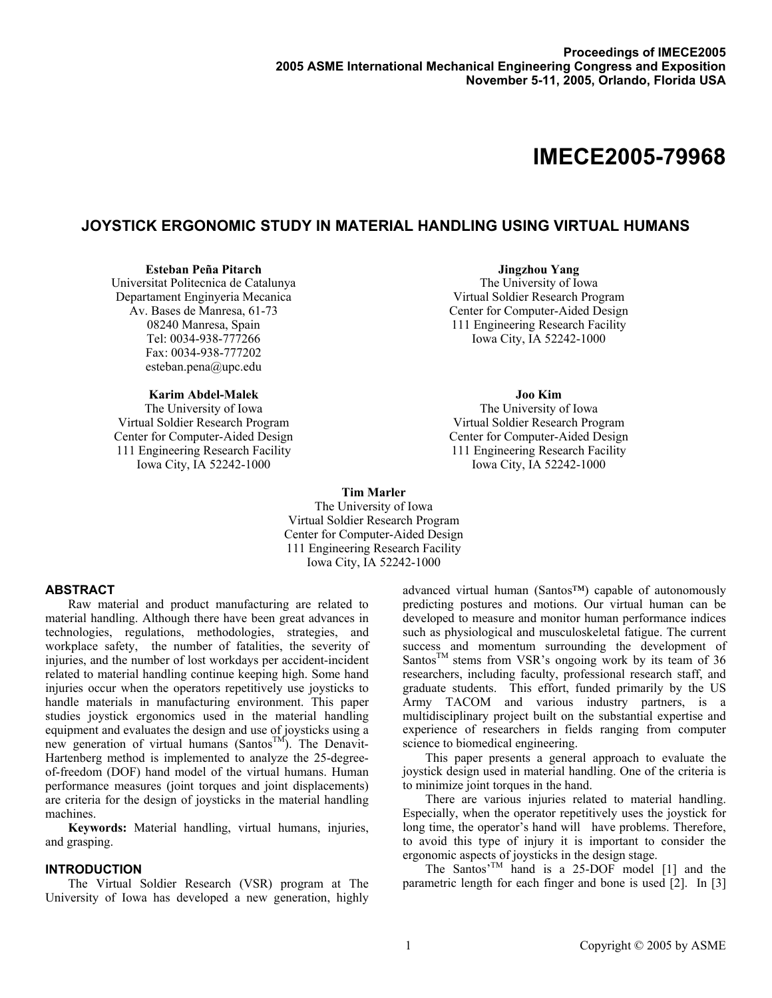# **IMECE2005-79968**

# **JOYSTICK ERGONOMIC STUDY IN MATERIAL HANDLING USING VIRTUAL HUMANS**

#### **Esteban Peña Pitarch**

Universitat Politecnica de Catalunya Departament Enginyeria Mecanica Av. Bases de Manresa, 61-73 08240 Manresa, Spain Tel: 0034-938-777266 Fax: 0034-938-777202 esteban.pena@upc.edu

**Karim Abdel-Malek** 

The University of Iowa Virtual Soldier Research Program Center for Computer-Aided Design 111 Engineering Research Facility Iowa City, IA 52242-1000

# **Jingzhou Yang**

The University of Iowa Virtual Soldier Research Program Center for Computer-Aided Design 111 Engineering Research Facility Iowa City, IA 52242-1000

## **Joo Kim**

The University of Iowa Virtual Soldier Research Program Center for Computer-Aided Design 111 Engineering Research Facility Iowa City, IA 52242-1000

**Tim Marler**  The University of Iowa Virtual Soldier Research Program Center for Computer-Aided Design 111 Engineering Research Facility

Iowa City, IA 52242-1000

# **ABSTRACT**

Raw material and product manufacturing are related to material handling. Although there have been great advances in technologies, regulations, methodologies, strategies, and workplace safety, the number of fatalities, the severity of injuries, and the number of lost workdays per accident-incident related to material handling continue keeping high. Some hand injuries occur when the operators repetitively use joysticks to handle materials in manufacturing environment. This paper studies joystick ergonomics used in the material handling equipment and evaluates the design and use of joysticks using a new generation of virtual humans (Santos<sup>TM</sup>). The Denavit-Hartenberg method is implemented to analyze the 25-degreeof-freedom (DOF) hand model of the virtual humans. Human performance measures (joint torques and joint displacements) are criteria for the design of joysticks in the material handling machines.

**Keywords:** Material handling, virtual humans, injuries, and grasping.

# **INTRODUCTION**

The Virtual Soldier Research (VSR) program at The University of Iowa has developed a new generation, highly advanced virtual human (Santos™) capable of autonomously predicting postures and motions. Our virtual human can be developed to measure and monitor human performance indices such as physiological and musculoskeletal fatigue. The current success and momentum surrounding the development of Santos<sup>TM</sup> stems from VSR's ongoing work by its team of 36 researchers, including faculty, professional research staff, and graduate students. This effort, funded primarily by the US Army TACOM and various industry partners, is a multidisciplinary project built on the substantial expertise and experience of researchers in fields ranging from computer science to biomedical engineering.

This paper presents a general approach to evaluate the joystick design used in material handling. One of the criteria is to minimize joint torques in the hand.

There are various injuries related to material handling. Especially, when the operator repetitively uses the joystick for long time, the operator's hand will have problems. Therefore, to avoid this type of injury it is important to consider the ergonomic aspects of joysticks in the design stage.

The Santos<sup>'TM</sup> hand is a 25-DOF model  $[1]$  and the parametric length for each finger and bone is used [2]. In [3]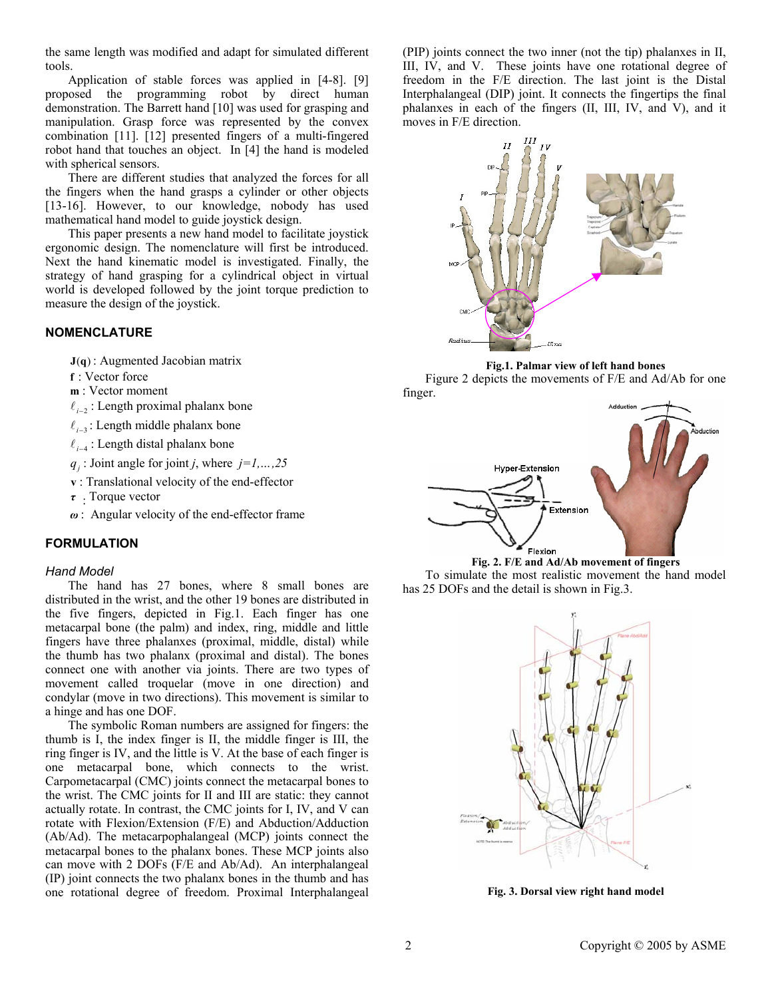the same length was modified and adapt for simulated different tools.

Application of stable forces was applied in [4-8]. [9] proposed the programming robot by direct human demonstration. The Barrett hand [10] was used for grasping and manipulation. Grasp force was represented by the convex combination [11]. [12] presented fingers of a multi-fingered robot hand that touches an object. In [4] the hand is modeled with spherical sensors.

There are different studies that analyzed the forces for all the fingers when the hand grasps a cylinder or other objects [13-16]. However, to our knowledge, nobody has used mathematical hand model to guide joystick design.

This paper presents a new hand model to facilitate joystick ergonomic design. The nomenclature will first be introduced. Next the hand kinematic model is investigated. Finally, the strategy of hand grasping for a cylindrical object in virtual world is developed followed by the joint torque prediction to measure the design of the joystick.

# **NOMENCLATURE**

 $J(q)$ : Augmented Jacobian matrix

- **f** : Vector force
- **m** : Vector moment
- $\ell_{i-2}$ : Length proximal phalanx bone
- $l_{i-3}$ : Length middle phalanx bone
- $\ell_{i-4}$ : Length distal phalanx bone
- $q_i$ : Joint angle for joint *j*, where  $j=1,\ldots,25$
- **v** : Translational velocity of the end-effector
- *<sup>τ</sup>* : Torque vector
- *ω* : Angular velocity of the end-effector frame

# **FORMULATION**

## *Hand Model*

The hand has 27 bones, where 8 small bones are distributed in the wrist, and the other 19 bones are distributed in the five fingers, depicted in Fig.1. Each finger has one metacarpal bone (the palm) and index, ring, middle and little fingers have three phalanxes (proximal, middle, distal) while the thumb has two phalanx (proximal and distal). The bones connect one with another via joints. There are two types of movement called troquelar (move in one direction) and condylar (move in two directions). This movement is similar to a hinge and has one DOF.

The symbolic Roman numbers are assigned for fingers: the thumb is I, the index finger is II, the middle finger is III, the ring finger is IV, and the little is V. At the base of each finger is one metacarpal bone, which connects to the wrist. Carpometacarpal (CMC) joints connect the metacarpal bones to the wrist. The CMC joints for II and III are static: they cannot actually rotate. In contrast, the CMC joints for I, IV, and V can rotate with Flexion/Extension (F/E) and Abduction/Adduction (Ab/Ad). The metacarpophalangeal (MCP) joints connect the metacarpal bones to the phalanx bones. These MCP joints also can move with 2 DOFs (F/E and Ab/Ad). An interphalangeal (IP) joint connects the two phalanx bones in the thumb and has one rotational degree of freedom. Proximal Interphalangeal (PIP) joints connect the two inner (not the tip) phalanxes in II, III, IV, and V. These joints have one rotational degree of freedom in the F/E direction. The last joint is the Distal Interphalangeal (DIP) joint. It connects the fingertips the final phalanxes in each of the fingers (II, III, IV, and V), and it moves in F/E direction.



**Fig.1. Palmar view of left hand bones** 

Figure 2 depicts the movements of F/E and Ad/Ab for one finger.







**Fig. 3. Dorsal view right hand model**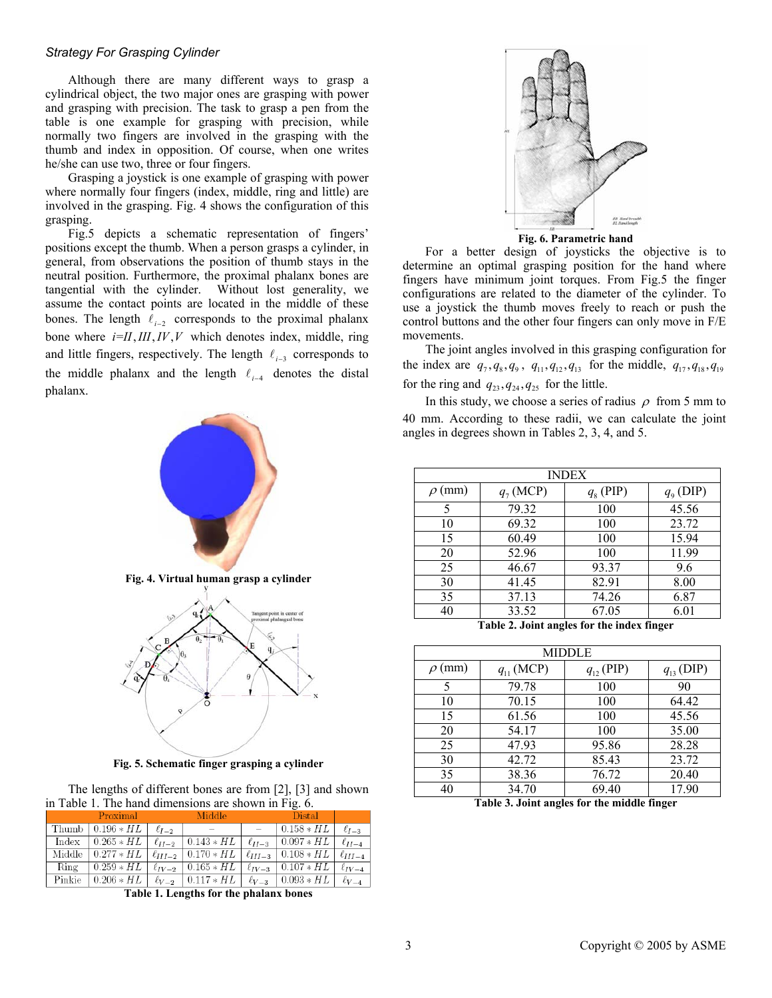## *Strategy For Grasping Cylinder*

Although there are many different ways to grasp a cylindrical object, the two major ones are grasping with power and grasping with precision. The task to grasp a pen from the table is one example for grasping with precision, while normally two fingers are involved in the grasping with the thumb and index in opposition. Of course, when one writes he/she can use two, three or four fingers.

Grasping a joystick is one example of grasping with power where normally four fingers (index, middle, ring and little) are involved in the grasping. Fig. 4 shows the configuration of this grasping.

Fig.5 depicts a schematic representation of fingers' positions except the thumb. When a person grasps a cylinder, in general, from observations the position of thumb stays in the neutral position. Furthermore, the proximal phalanx bones are tangential with the cylinder. Without lost generality, we assume the contact points are located in the middle of these bones. The length  $\ell_{i-2}$  corresponds to the proximal phalanx bone where  $i=II, III, IV, V$  which denotes index, middle, ring and little fingers, respectively. The length  $\ell_{i-3}$  corresponds to the middle phalanx and the length  $\ell_{i-4}$  denotes the distal phalanx.



**Fig. 5. Schematic finger grasping a cylinder** 

The lengths of different bones are from [2], [3] and shown in Table 1. The hand dimensions are shown in Fig. 6. **Table 3. Joint angles for the middle finger**

|        | Proximal                                                                                      |               | Middle                                                                                  | <b>Distal</b> |                |
|--------|-----------------------------------------------------------------------------------------------|---------------|-----------------------------------------------------------------------------------------|---------------|----------------|
|        | Thumb $\vert 0.196 * HL$                                                                      | $\ell_{I-2}$  |                                                                                         | $0.158 * HL$  | $\ell_{I-3}$   |
| Index  | $\mid 0.265 * HL$                                                                             | $\ell_{II-2}$ | $\vert 0.143 * HL \vert \ell_{II-3} \vert 0.097 * HL$                                   |               | $\ell_{II-4}$  |
| Middle | $\left[0.277 * HL \mid \ell_{III-2} \mid 0.170 * HL \mid \ell_{III-3} \mid 0.108 * HL\right]$ |               |                                                                                         |               | $\ell_{III-4}$ |
| Ring   | $\mid 0.259 * HL$                                                                             |               | $\lceil \ell_{IV-2} \rceil 0.165 * H\bar{L} \rceil \ell_{IV-3} \rceil 0.107 * H\bar{L}$ |               | $\ell_{IV-4}$  |
| Pinkie |                                                                                               |               |                                                                                         |               | $\ell_{V-4}$   |

**Table 1. Lengths for the phalanx bones** 



**Fig. 6. Parametric hand** 

For a better design of joysticks the objective is to determine an optimal grasping position for the hand where fingers have minimum joint torques. From Fig.5 the finger configurations are related to the diameter of the cylinder. To use a joystick the thumb moves freely to reach or push the control buttons and the other four fingers can only move in F/E movements.

The joint angles involved in this grasping configuration for the index are  $q_7, q_8, q_9, q_{11}, q_{12}, q_{13}$  for the middle,  $q_{17}, q_{18}, q_{19}$ for the ring and  $q_{23}, q_{24}, q_{25}$  for the little.

In this study, we choose a series of radius  $\rho$  from 5 mm to 40 mm. According to these radii, we can calculate the joint angles in degrees shown in Tables 2, 3, 4, and 5.

| <b>INDEX</b>                                                                                                   |             |             |               |  |
|----------------------------------------------------------------------------------------------------------------|-------------|-------------|---------------|--|
| $\rho$ (mm)                                                                                                    | $q_7$ (MCP) | $q_8$ (PIP) | $q_{9}$ (DIP) |  |
| 5                                                                                                              | 79.32       | 100         | 45.56         |  |
| 10                                                                                                             | 69.32       | 100         | 23.72         |  |
| 15                                                                                                             | 60.49       | 100         | 15.94         |  |
| 20                                                                                                             | 52.96       | 100         | 11.99         |  |
| 25                                                                                                             | 46.67       | 93.37       | 9.6           |  |
| 30                                                                                                             | 41.45       | 82.91       | 8.00          |  |
| 35                                                                                                             | 37.13       | 74.26       | 6.87          |  |
| 40                                                                                                             | 33.52       | 67.05       | 6.01          |  |
| ления територия (1992—1994), село в село в село в село в село в село в село в село в село в село в село в село |             |             |               |  |

**Table 2. Joint angles for the index finger**

| <b>MIDDLE</b>         |                |                |                |  |
|-----------------------|----------------|----------------|----------------|--|
| (mm)<br>$\mathcal{D}$ | $q_{11}$ (MCP) | $q_{12}$ (PIP) | $q_{13}$ (DIP) |  |
| 5                     | 79.78          | 100            | 90             |  |
| 10                    | 70.15          | 100            | 64.42          |  |
| 15                    | 61.56          | 100            | 45.56          |  |
| 20                    | 54.17          | 100            | 35.00          |  |
| 25                    | 47.93          | 95.86          | 28.28          |  |
| 30                    | 42.72          | 85.43          | 23.72          |  |
| 35                    | 38.36          | 76.72          | 20.40          |  |
| 40                    | 34.70          | 69.40          | 17.90          |  |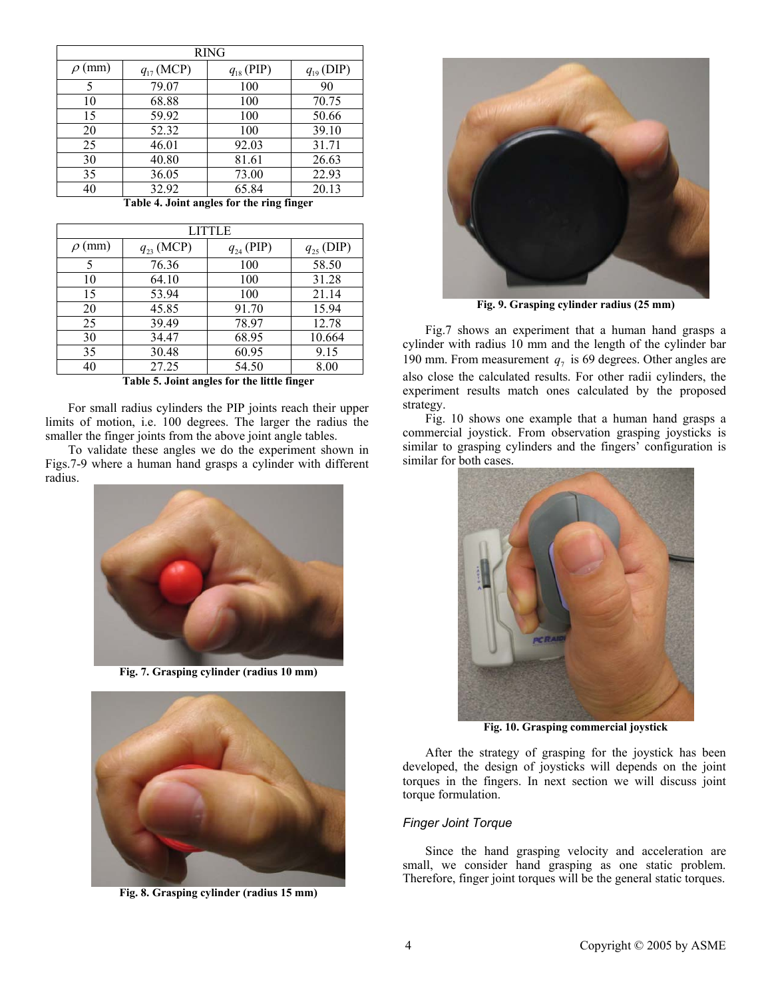| <b>RING</b>    |                |                |                |  |
|----------------|----------------|----------------|----------------|--|
| (mm)<br>$\rho$ | $q_{17}$ (MCP) | $q_{18}$ (PIP) | $q_{19}$ (DIP) |  |
| 5              | 79.07          | 100            | 90             |  |
| 10             | 68.88          | 100            | 70.75          |  |
| 15             | 59.92          | 100            | 50.66          |  |
| 20             | 52.32          | 100            | 39.10          |  |
| 25             | 46.01          | 92.03          | 31.71          |  |
| 30             | 40.80          | 81.61          | 26.63          |  |
| 35             | 36.05          | 73.00          | 22.93          |  |
| 40             | 32.92          | 65.84          | 20.13          |  |

**Table 4. Joint angles for the ring finger**

| LITTLE      |                |                |                |  |
|-------------|----------------|----------------|----------------|--|
| $\rho$ (mm) | $q_{23}$ (MCP) | $q_{24}$ (PIP) | $q_{25}$ (DIP) |  |
| 5           | 76.36          | 100            | 58.50          |  |
| 10          | 64.10          | 100            | 31.28          |  |
| 15          | 53.94          | 100            | 21.14          |  |
| 20          | 45.85          | 91.70          | 15.94          |  |
| 25          | 39.49          | 78.97          | 12.78          |  |
| 30          | 34.47          | 68.95          | 10.664         |  |
| 35          | 30.48          | 60.95          | 9.15           |  |
| 40          | 27.25          | 54.50          | 8.00           |  |

**Table 5. Joint angles for the little finger**

For small radius cylinders the PIP joints reach their upper limits of motion, i.e. 100 degrees. The larger the radius the smaller the finger joints from the above joint angle tables.

To validate these angles we do the experiment shown in similar to grasping cy<br>7-9 where a human hand grasps a cylinder with different similar for both cases. Figs.7-9 where a human hand grasps a cylinder with different radius.



**Fig. 7. Grasping cylinder (radius 10 mm)**



**Fig. 8. Grasping cylinder (radius 15 mm)** 



**Fig. 9. Grasping cylinder radius (25 mm)** 

Fig.7 shows an experiment that a human hand grasps a cylinder with radius 10 mm and the length of the cylinder bar 190 mm. From measurement  $q_7$  is 69 degrees. Other angles are also close the calculated results. For other radii cylinders, the experiment results match ones calculated by the proposed strategy.

Fig. 10 shows one example that a human hand grasps a commercial joystick. From observation grasping joysticks is similar to grasping cylinders and the fingers' configuration is



**Fig. 10. Grasping commercial joystick** 

After the strategy of grasping for the joystick has been developed, the design of joysticks will depends on the joint torques in the fingers. In next section we will discuss joint torque formulation.

# *Finger Joint Torque*

Since the hand grasping velocity and acceleration are small, we consider hand grasping as one static problem. Therefore, finger joint torques will be the general static torques.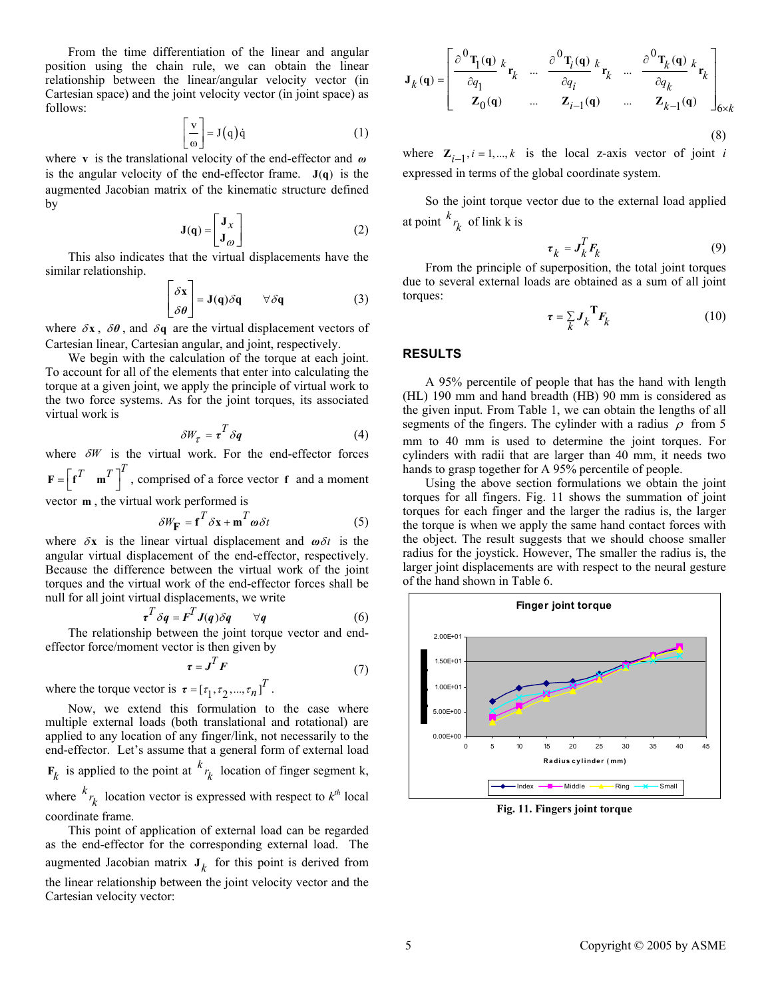From the time differentiation of the linear and angular position using the chain rule, we can obtain the linear relationship between the linear/angular velocity vector (in Cartesian space) and the joint velocity vector (in joint space) as follows:

$$
\left\lfloor \frac{\mathbf{v}}{\omega} \right\rfloor = \mathbf{J}(\mathbf{q})\dot{\mathbf{q}} \tag{1}
$$

where v is the translational velocity of the end-effector and *ω* is the angular velocity of the end-effector frame.  $J(q)$  is the augmented Jacobian matrix of the kinematic structure defined by

$$
\mathbf{J}(\mathbf{q}) = \begin{bmatrix} \mathbf{J}_x \\ \mathbf{J}_\omega \end{bmatrix}
$$
 at point <sup>k</sup>  $r$ 

This also indicates that the virtual displacements have the similar relationship.

$$
\begin{bmatrix} \delta \mathbf{x} \\ \delta \theta \end{bmatrix} = \mathbf{J}(\mathbf{q}) \delta \mathbf{q} \qquad \forall \delta \mathbf{q} \tag{3}
$$

where  $\delta x$ ,  $\delta \theta$ , and  $\delta q$  are the virtual displacement vectors of Cartesian linear, Cartesian angular, and joint, respectively.

We begin with the calculation of the torque at each joint. **RESULTS** To account for all of the elements that enter into calculating the torque at a given joint, we apply the principle of virtual work to the two force systems. As for the joint torques, its associated virtual work is

$$
\delta W_{\tau} = \tau^T \delta q \tag{4}
$$

where  $\delta W$  is the virtual work. For the end-effector forces  $\mathbf{F} = \begin{bmatrix} \mathbf{f}^T & \mathbf{m}^T \end{bmatrix}^T$ , comprised of a force vector **f** and a moment

vector **, the virtual work performed is** 

$$
\delta W_{\mathbf{F}} = \mathbf{f}^T \delta \mathbf{x} + \mathbf{m}^T \boldsymbol{\omega} \delta t \tag{5}
$$

where  $\delta x$  is the linear virtual displacement and  $\omega \delta t$  is the angular virtual displacement of the end-effector, respectively. Because the difference between the virtual work of the joint torques and the virtual work of the end-effector forces shall be null for all joint virtual displacements, we write

$$
\tau^T \delta q = F^T J(q) \delta q \qquad \forall q \tag{6}
$$

The relationship between the joint torque vector and endeffector force/moment vector is then given by

$$
\tau = J^T F \tag{7}
$$

where the torque vector is  $\boldsymbol{\tau} = [\tau_1, \tau_2, ..., \tau_n]^T$ .

Now, we extend this formulation to the case where multiple external loads (both translational and rotational) are applied to any location of any finger/link, not necessarily to the end-effector. Let's assume that a general form of external load  $\mathbf{F}_k$  is applied to the point at  $\left(\frac{k}{k}\right)$  location of finger segment k, where  $k_{r_k}$  location vector is expressed with respect to  $k^{th}$  local coordinate frame.

This point of application of external load can be regarded as the end-effector for the corresponding external load. The augmented Jacobian matrix  $J_k$  for this point is derived from the linear relationship between the joint velocity vector and the Cartesian velocity vector:

$$
\mathbf{J}_{k}(\mathbf{q}) = \begin{bmatrix} \frac{\partial^{0} \mathbf{T}_{1}(\mathbf{q})}{\partial q_{1}} k_{\mathbf{r}_{k}} & \dots & \frac{\partial^{0} \mathbf{T}_{i}(\mathbf{q})}{\partial q_{i}} k_{\mathbf{r}_{k}} & \dots & \frac{\partial^{0} \mathbf{T}_{k}(\mathbf{q})}{\partial q_{k}} k_{\mathbf{r}_{k}} \\ \mathbf{Z}_{0}(\mathbf{q}) & \dots & \mathbf{Z}_{i-1}(\mathbf{q}) & \dots & \mathbf{Z}_{k-1}(\mathbf{q}) \end{bmatrix}_{6 \times k}
$$
\n(8)

where  $\mathbf{Z}_{i-1}$ ,  $i = 1,..., k$  is the local z-axis vector of joint *i* expressed in terms of the global coordinate system.

So the joint torque vector due to the external load applied at point  $\binom{k}{r_k}$  of link k is *k*

$$
\tau_k = J_k^T F_k \tag{9}
$$

From the principle of superposition, the total joint torques due to several external loads are obtained as a sum of all joint torques:

$$
\tau = \sum_{k} J_k^T F_k \tag{10}
$$

A 95% percentile of people that has the hand with length (HL) 190 mm and hand breadth (HB) 90 mm is considered as the given input. From Table 1, we can obtain the lengths of all segments of the fingers. The cylinder with a radius  $\rho$  from 5 mm to 40 mm is used to determine the joint torques. For cylinders with radii that are larger than 40 mm, it needs two hands to grasp together for A 95% percentile of people.

Using the above section formulations we obtain the joint torques for all fingers. Fig. 11 shows the summation of joint torques for each finger and the larger the radius is, the larger the torque is when we apply the same hand contact forces with the object. The result suggests that we should choose smaller radius for the joystick. However, The smaller the radius is, the larger joint displacements are with respect to the neural gesture of the hand shown in Table 6.



**Fig. 11. Fingers joint torque**